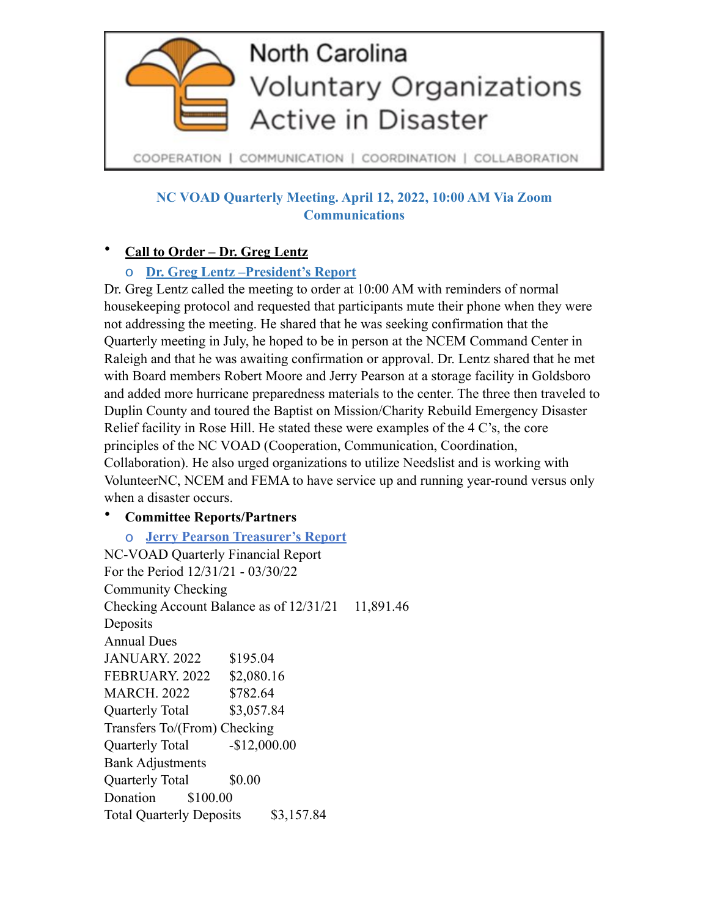

**NC VOAD Quarterly Meeting. April 12, 2022, 10:00 AM Via Zoom Communications** 

## • **Call to Order – Dr. Greg Lentz**

## o **Dr. Greg Lentz –President's Report**

Dr. Greg Lentz called the meeting to order at 10:00 AM with reminders of normal housekeeping protocol and requested that participants mute their phone when they were not addressing the meeting. He shared that he was seeking confirmation that the Quarterly meeting in July, he hoped to be in person at the NCEM Command Center in Raleigh and that he was awaiting confirmation or approval. Dr. Lentz shared that he met with Board members Robert Moore and Jerry Pearson at a storage facility in Goldsboro and added more hurricane preparedness materials to the center. The three then traveled to Duplin County and toured the Baptist on Mission/Charity Rebuild Emergency Disaster Relief facility in Rose Hill. He stated these were examples of the 4 C's, the core principles of the NC VOAD (Cooperation, Communication, Coordination, Collaboration). He also urged organizations to utilize Needslist and is working with VolunteerNC, NCEM and FEMA to have service up and running year-round versus only when a disaster occurs.

## • **Committee Reports/Partners**

o **Jerry Pearson Treasurer's Report**  NC-VOAD Quarterly Financial Report For the Period 12/31/21 - 03/30/22 Community Checking Checking Account Balance as of  $12/31/21$  11,891.46 **Deposits** Annual Dues JANUARY. 2022 \$195.04 FEBRUARY. 2022 \$2,080.16 MARCH. 2022 \$782.64 Quarterly Total \$3,057.84 Transfers To/(From) Checking Quarterly Total  $-$ \$12,000.00 Bank Adjustments Quarterly Total \$0.00 Donation \$100.00 Total Quarterly Deposits \$3,157.84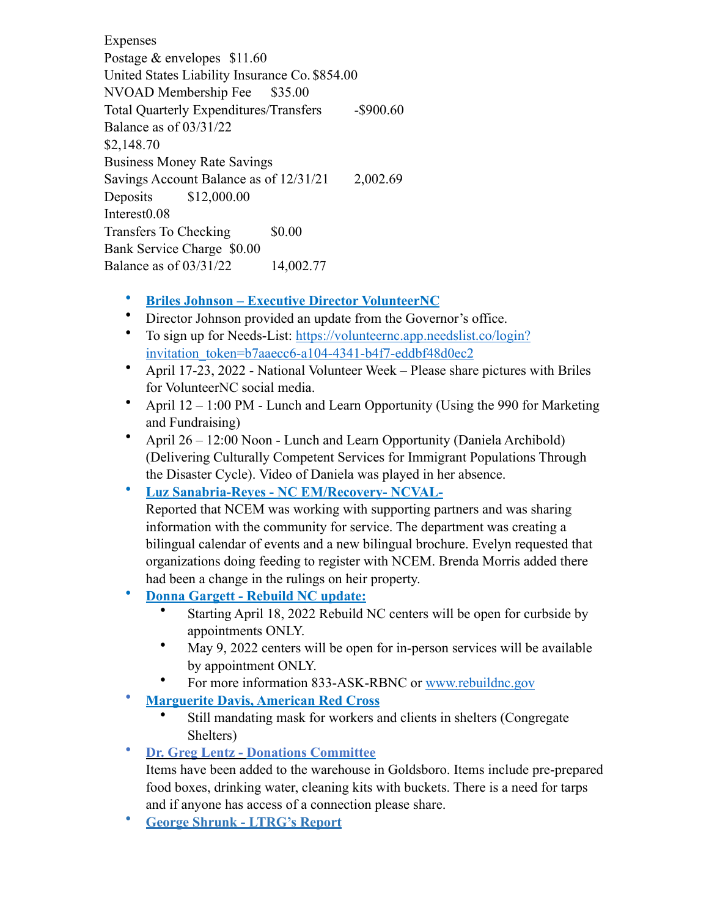Expenses Postage & envelopes \$11.60 United States Liability Insurance Co. \$854.00 NVOAD Membership Fee \$35.00 Total Quarterly Expenditures/Transfers - \$900.60 Balance as of 03/31/22 \$2,148.70 Business Money Rate Savings Savings Account Balance as of  $12/31/21$  2,002.69 Deposits \$12,000.00 Interest<sub>0.08</sub> Transfers To Checking \$0.00 Bank Service Charge \$0.00 Balance as of 03/31/22 14,002.77

## • **Briles Johnson – Executive Director VolunteerNC**

- Director Johnson provided an update from the Governor's office.
- To sign up for Needs-List: [https://volunteernc.app.needslist.co/login?](https://volunteernc.app.needslist.co/login?invitation_token=b7aaecc6-a104-4341-b4f7-eddbf48d0ec2) [invitation\\_token=b7aaecc6-a104-4341-b4f7-eddbf48d0ec2](https://volunteernc.app.needslist.co/login?invitation_token=b7aaecc6-a104-4341-b4f7-eddbf48d0ec2)
- April 17-23, 2022 National Volunteer Week Please share pictures with Briles for VolunteerNC social media.
- April  $12 1:00 \text{ PM}$  Lunch and Learn Opportunity (Using the 990 for Marketing and Fundraising)
- April 26 12:00 Noon Lunch and Learn Opportunity (Daniela Archibold) (Delivering Culturally Competent Services for Immigrant Populations Through the Disaster Cycle). Video of Daniela was played in her absence.
- **Luz Sanabria-Reyes NC EM/Recovery- NCVAL-**

Reported that NCEM was working with supporting partners and was sharing information with the community for service. The department was creating a bilingual calendar of events and a new bilingual brochure. Evelyn requested that organizations doing feeding to register with NCEM. Brenda Morris added there had been a change in the rulings on heir property.

- **Donna Gargett Rebuild NC update:** 
	- Starting April 18, 2022 Rebuild NC centers will be open for curbside by appointments ONLY.
	- May 9, 2022 centers will be open for in-person services will be available by appointment ONLY.
	- For more information 833-ASK-RBNC or [www.rebuildnc.gov](http://www.rebuildnc.gov)
- **Marguerite Davis, American Red Cross**
	- Still mandating mask for workers and clients in shelters (Congregate Shelters)
- **Dr. Greg Lentz Donations Committee**

Items have been added to the warehouse in Goldsboro. Items include pre-prepared food boxes, drinking water, cleaning kits with buckets. There is a need for tarps and if anyone has access of a connection please share.

• **George Shrunk - LTRG's Report**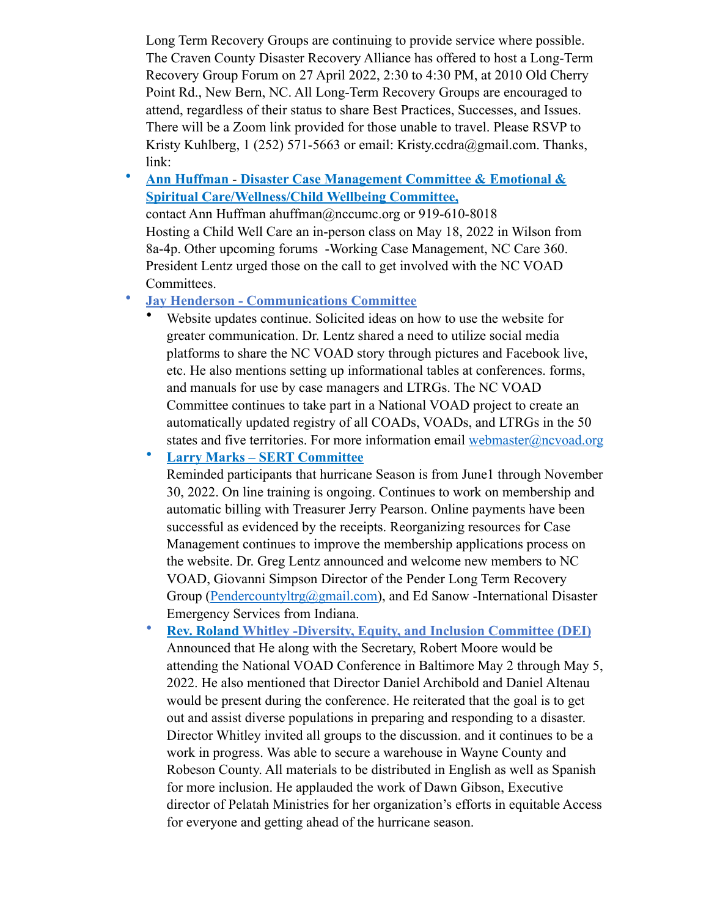Long Term Recovery Groups are continuing to provide service where possible. The Craven County Disaster Recovery Alliance has offered to host a Long-Term Recovery Group Forum on 27 April 2022, 2:30 to 4:30 PM, at 2010 Old Cherry Point Rd., New Bern, NC. All Long-Term Recovery Groups are encouraged to attend, regardless of their status to share Best Practices, Successes, and Issues. There will be a Zoom link provided for those unable to travel. Please RSVP to Kristy Kuhlberg, 1 (252) 571-5663 or email: Kristy.ccdra@gmail.com. Thanks, link:

• **Ann Huffman** - **Disaster Case Management Committee & Emotional & Spiritual Care/Wellness/Child Wellbeing Committee,** 

contact Ann Huffman ahuffman@nccumc.org or 919-610-8018 Hosting a Child Well Care an in-person class on May 18, 2022 in Wilson from 8a-4p. Other upcoming forums -Working Case Management, NC Care 360. President Lentz urged those on the call to get involved with the NC VOAD Committees.

- **Jay Henderson Communications Committee** 
	- Website updates continue. Solicited ideas on how to use the website for greater communication. Dr. Lentz shared a need to utilize social media platforms to share the NC VOAD story through pictures and Facebook live, etc. He also mentions setting up informational tables at conferences. forms, and manuals for use by case managers and LTRGs. The NC VOAD Committee continues to take part in a National VOAD project to create an automatically updated registry of all COADs, VOADs, and LTRGs in the 50 states and five territories. For more information email [webmaster@ncvoad.org](mailto:webmaster@ncvoad.org)

• **Larry Marks – SERT Committee** 

Reminded participants that hurricane Season is from June1 through November 30, 2022. On line training is ongoing. Continues to work on membership and automatic billing with Treasurer Jerry Pearson. Online payments have been successful as evidenced by the receipts. Reorganizing resources for Case Management continues to improve the membership applications process on the website. Dr. Greg Lentz announced and welcome new members to NC VOAD, Giovanni Simpson Director of the Pender Long Term Recovery Group ([Pendercountyltrg@gmail.com](mailto:Pendercountyltrg@gmail.com)), and Ed Sanow -International Disaster Emergency Services from Indiana.

• **Rev. Roland Whitley -Diversity, Equity, and Inclusion Committee (DEI)**  Announced that He along with the Secretary, Robert Moore would be attending the National VOAD Conference in Baltimore May 2 through May 5, 2022. He also mentioned that Director Daniel Archibold and Daniel Altenau would be present during the conference. He reiterated that the goal is to get out and assist diverse populations in preparing and responding to a disaster. Director Whitley invited all groups to the discussion. and it continues to be a work in progress. Was able to secure a warehouse in Wayne County and Robeson County. All materials to be distributed in English as well as Spanish for more inclusion. He applauded the work of Dawn Gibson, Executive director of Pelatah Ministries for her organization's efforts in equitable Access for everyone and getting ahead of the hurricane season.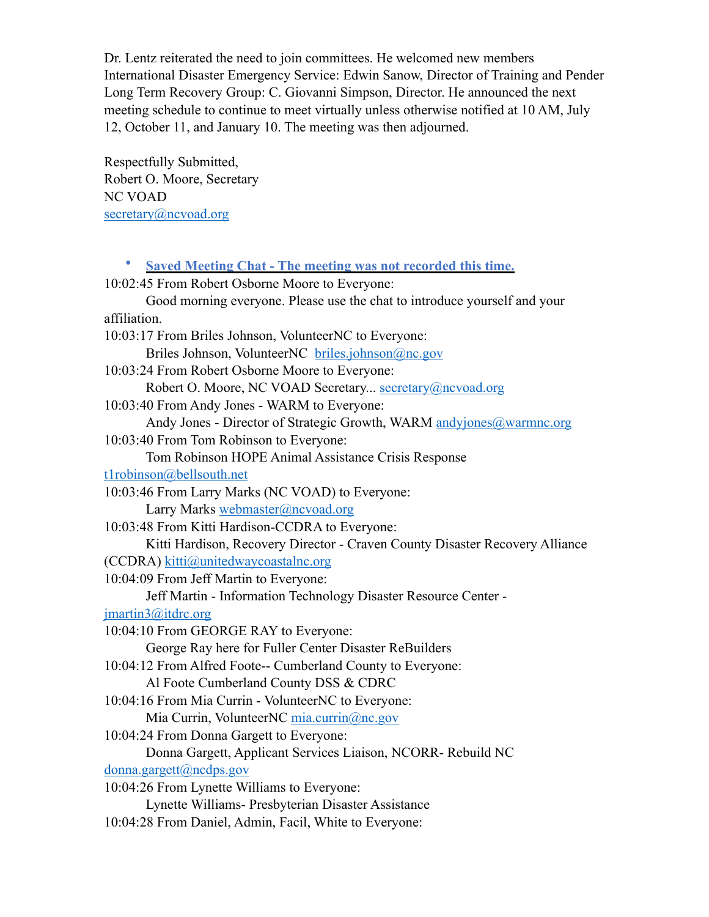Dr. Lentz reiterated the need to join committees. He welcomed new members International Disaster Emergency Service: Edwin Sanow, Director of Training and Pender Long Term Recovery Group: C. Giovanni Simpson, Director. He announced the next meeting schedule to continue to meet virtually unless otherwise notified at 10 AM, July 12, October 11, and January 10. The meeting was then adjourned.

Respectfully Submitted, Robert O. Moore, Secretary NC VOAD secretary@ncvoad.org

• **Saved Meeting Chat - The meeting was not recorded this time.** 10:02:45 From Robert Osborne Moore to Everyone: Good morning everyone. Please use the chat to introduce yourself and your affiliation. 10:03:17 From Briles Johnson, VolunteerNC to Everyone: Briles Johnson, VolunteerNC [briles.johnson@nc.gov](mailto:briles.johnson@nc.gov) 10:03:24 From Robert Osborne Moore to Everyone: Robert O. Moore, NC VOAD Secretary... [secretary@ncvoad.org](mailto:secretary@ncvoad.org) 10:03:40 From Andy Jones - WARM to Everyone: Andy Jones - Director of Strategic Growth, WARM [andyjones@warmnc.org](mailto:andyjones@warmnc.org) 10:03:40 From Tom Robinson to Everyone: Tom Robinson HOPE Animal Assistance Crisis Response [t1robinson@bellsouth.net](mailto:t1robinson@bellsouth.net) 10:03:46 From Larry Marks (NC VOAD) to Everyone: Larry Marks [webmaster@ncvoad.org](mailto:webmaster@ncvoad.org) 10:03:48 From Kitti Hardison-CCDRA to Everyone: Kitti Hardison, Recovery Director - Craven County Disaster Recovery Alliance (CCDRA) [kitti@unitedwaycoastalnc.org](mailto:kitti@unitedwaycoastalnc.org) 10:04:09 From Jeff Martin to Everyone: Jeff Martin - Information Technology Disaster Resource Center [jmartin3@itdrc.org](mailto:jmartin3@itdrc.org) 10:04:10 From GEORGE RAY to Everyone: George Ray here for Fuller Center Disaster ReBuilders 10:04:12 From Alfred Foote-- Cumberland County to Everyone: Al Foote Cumberland County DSS & CDRC 10:04:16 From Mia Currin - VolunteerNC to Everyone: Mia Currin, VolunteerNC [mia.currin@nc.gov](mailto:mia.currin@nc.gov) 10:04:24 From Donna Gargett to Everyone: Donna Gargett, Applicant Services Liaison, NCORR- Rebuild NC [donna.gargett@ncdps.gov](mailto:donna.gargett@ncdps.gov) 10:04:26 From Lynette Williams to Everyone: Lynette Williams- Presbyterian Disaster Assistance 10:04:28 From Daniel, Admin, Facil, White to Everyone: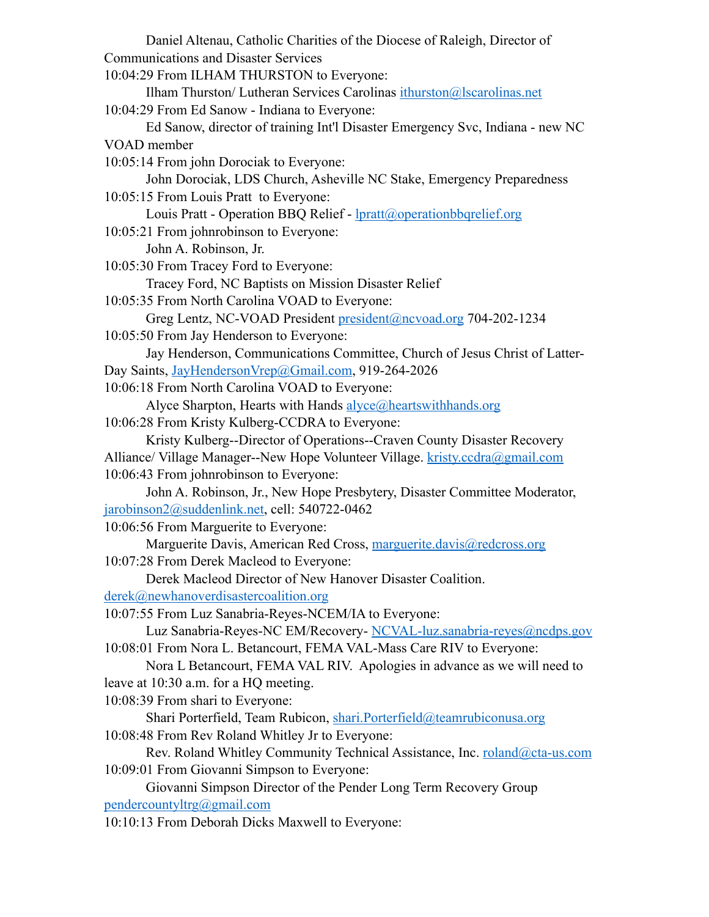| Daniel Altenau, Catholic Charities of the Diocese of Raleigh, Director of                                                 |
|---------------------------------------------------------------------------------------------------------------------------|
| <b>Communications and Disaster Services</b>                                                                               |
| 10:04:29 From ILHAM THURSTON to Everyone:                                                                                 |
| Ilham Thurston/ Lutheran Services Carolinas ithurston@Iscarolinas.net                                                     |
| 10:04:29 From Ed Sanow - Indiana to Everyone:                                                                             |
| Ed Sanow, director of training Int'l Disaster Emergency Svc, Indiana - new NC                                             |
| VOAD member                                                                                                               |
| 10:05:14 From john Dorociak to Everyone:                                                                                  |
| John Dorociak, LDS Church, Asheville NC Stake, Emergency Preparedness                                                     |
| 10:05:15 From Louis Pratt to Everyone:                                                                                    |
| Louis Pratt - Operation BBQ Relief - <b>Ipratt@operationbbqrelief.org</b>                                                 |
| 10:05:21 From johnrobinson to Everyone:                                                                                   |
| John A. Robinson, Jr.                                                                                                     |
| 10:05:30 From Tracey Ford to Everyone:                                                                                    |
| Tracey Ford, NC Baptists on Mission Disaster Relief                                                                       |
| 10:05:35 From North Carolina VOAD to Everyone:                                                                            |
| Greg Lentz, NC-VOAD President president@ncvoad.org 704-202-1234                                                           |
| 10:05:50 From Jay Henderson to Everyone:                                                                                  |
| Jay Henderson, Communications Committee, Church of Jesus Christ of Latter-                                                |
| Day Saints, JayHendersonVrep@Gmail.com, 919-264-2026                                                                      |
| 10:06:18 From North Carolina VOAD to Everyone:                                                                            |
| Alyce Sharpton, Hearts with Hands alyce@heartswithhands.org                                                               |
| 10:06:28 From Kristy Kulberg-CCDRA to Everyone:                                                                           |
| Kristy Kulberg--Director of Operations--Craven County Disaster Recovery                                                   |
| Alliance/ Village Manager--New Hope Volunteer Village. kristy.ccdra@gmail.com                                             |
| 10:06:43 From johnrobinson to Everyone:                                                                                   |
| John A. Robinson, Jr., New Hope Presbytery, Disaster Committee Moderator,                                                 |
| jarobinson2@suddenlink.net, cell: 540722-0462                                                                             |
| 10:06:56 From Marguerite to Everyone:                                                                                     |
| Marguerite Davis, American Red Cross, marguerite.davis@redcross.org                                                       |
| 10:07:28 From Derek Macleod to Everyone:                                                                                  |
| Derek Macleod Director of New Hanover Disaster Coalition.                                                                 |
| derek@newhanoverdisastercoalition.org                                                                                     |
| 10:07:55 From Luz Sanabria-Reyes-NCEM/IA to Everyone:                                                                     |
| Luz Sanabria-Reyes-NC EM/Recovery- NCVAL-luz.sanabria-reyes@ncdps.gov                                                     |
| 10:08:01 From Nora L. Betancourt, FEMA VAL-Mass Care RIV to Everyone:                                                     |
| Nora L Betancourt, FEMA VAL RIV. Apologies in advance as we will need to                                                  |
| leave at 10:30 a.m. for a HQ meeting.                                                                                     |
| 10:08:39 From shari to Everyone:                                                                                          |
| Shari Porterfield, Team Rubicon, shari.Porterfield@teamrubiconusa.org                                                     |
| 10:08:48 From Rev Roland Whitley Jr to Everyone:                                                                          |
| Rev. Roland Whitley Community Technical Assistance, Inc. roland@cta-us.com<br>10:09:01 From Giovanni Simpson to Everyone: |
| Giovanni Simpson Director of the Pender Long Term Recovery Group                                                          |
| pendercountyltrg@gmail.com                                                                                                |
|                                                                                                                           |

10:10:13 From Deborah Dicks Maxwell to Everyone: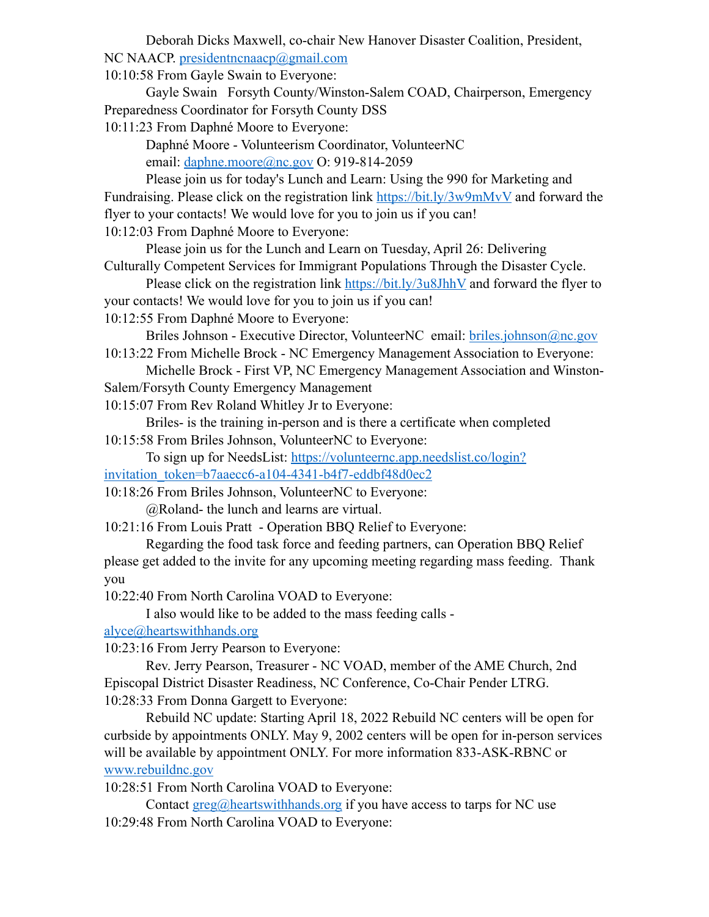Deborah Dicks Maxwell, co-chair New Hanover Disaster Coalition, President, NC NAACP. [presidentncnaacp@gmail.com](mailto:presidentncnaacp@gmail.com)

10:10:58 From Gayle Swain to Everyone:

 Gayle Swain Forsyth County/Winston-Salem COAD, Chairperson, Emergency Preparedness Coordinator for Forsyth County DSS

10:11:23 From Daphné Moore to Everyone:

 Daphné Moore - Volunteerism Coordinator, VolunteerNC email: [daphne.moore@nc.gov](mailto:daphne.moore@nc.gov) O: 919-814-2059

 Please join us for today's Lunch and Learn: Using the 990 for Marketing and Fundraising. Please click on the registration link<https://bit.ly/3w9mMvV> and forward the flyer to your contacts! We would love for you to join us if you can! 10:12:03 From Daphné Moore to Everyone:

 Please join us for the Lunch and Learn on Tuesday, April 26: Delivering Culturally Competent Services for Immigrant Populations Through the Disaster Cycle.

 Please click on the registration link <https://bit.ly/3u8JhhV>and forward the flyer to your contacts! We would love for you to join us if you can!

10:12:55 From Daphné Moore to Everyone:

Briles Johnson - Executive Director, VolunteerNC email: [briles.johnson@nc.gov](mailto:briles.johnson@nc.gov)

10:13:22 From Michelle Brock - NC Emergency Management Association to Everyone: Michelle Brock - First VP, NC Emergency Management Association and Winston-

Salem/Forsyth County Emergency Management

10:15:07 From Rev Roland Whitley Jr to Everyone:

 Briles- is the training in-person and is there a certificate when completed 10:15:58 From Briles Johnson, VolunteerNC to Everyone:

 To sign up for NeedsList: [https://volunteernc.app.needslist.co/login?](https://volunteernc.app.needslist.co/login?invitation_token=b7aaecc6-a104-4341-b4f7-eddbf48d0ec2) [invitation\\_token=b7aaecc6-a104-4341-b4f7-eddbf48d0ec2](https://volunteernc.app.needslist.co/login?invitation_token=b7aaecc6-a104-4341-b4f7-eddbf48d0ec2)

10:18:26 From Briles Johnson, VolunteerNC to Everyone:

@Roland- the lunch and learns are virtual.

10:21:16 From Louis Pratt - Operation BBQ Relief to Everyone:

 Regarding the food task force and feeding partners, can Operation BBQ Relief please get added to the invite for any upcoming meeting regarding mass feeding. Thank you

10:22:40 From North Carolina VOAD to Everyone:

I also would like to be added to the mass feeding calls -

[alyce@heartswithhands.org](mailto:alyce@heartswithhands.org)

10:23:16 From Jerry Pearson to Everyone:

 Rev. Jerry Pearson, Treasurer - NC VOAD, member of the AME Church, 2nd Episcopal District Disaster Readiness, NC Conference, Co-Chair Pender LTRG. 10:28:33 From Donna Gargett to Everyone:

 Rebuild NC update: Starting April 18, 2022 Rebuild NC centers will be open for curbside by appointments ONLY. May 9, 2002 centers will be open for in-person services will be available by appointment ONLY. For more information 833-ASK-RBNC or [www.rebuildnc.gov](http://www.rebuildnc.gov)

10:28:51 From North Carolina VOAD to Everyone:

Contact  $\text{greg@hearts withmands.org}$  if you have access to tarps for NC use 10:29:48 From North Carolina VOAD to Everyone: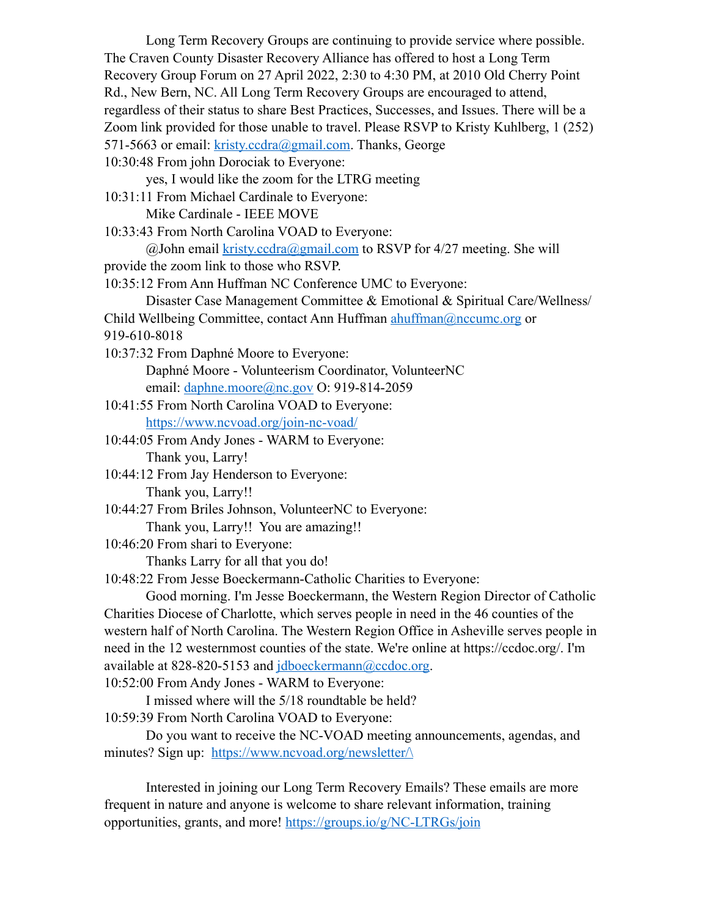Long Term Recovery Groups are continuing to provide service where possible. The Craven County Disaster Recovery Alliance has offered to host a Long Term Recovery Group Forum on 27 April 2022, 2:30 to 4:30 PM, at 2010 Old Cherry Point Rd., New Bern, NC. All Long Term Recovery Groups are encouraged to attend, regardless of their status to share Best Practices, Successes, and Issues. There will be a Zoom link provided for those unable to travel. Please RSVP to Kristy Kuhlberg, 1 (252) 571-5663 or email: [kristy.ccdra@gmail.com.](mailto:kristy.ccdra@gmail.com) Thanks, George

10:30:48 From john Dorociak to Everyone:

yes, I would like the zoom for the LTRG meeting

10:31:11 From Michael Cardinale to Everyone: Mike Cardinale - IEEE MOVE

10:33:43 From North Carolina VOAD to Everyone:

 $(a)$  John email kristy.ccdra $(a)$ gmail.com to RSVP for 4/27 meeting. She will

provide the zoom link to those who RSVP.

10:35:12 From Ann Huffman NC Conference UMC to Everyone:

Disaster Case Management Committee & Emotional & Spiritual Care/Wellness/

Child Wellbeing Committee, contact Ann Huffman [ahuffman@nccumc.org](mailto:ahuffman@nccumc.org) or

919-610-8018

10:37:32 From Daphné Moore to Everyone:

 Daphné Moore - Volunteerism Coordinator, VolunteerNC email: [daphne.moore@nc.gov](mailto:daphne.moore@nc.gov) O: 919-814-2059

- 10:41:55 From North Carolina VOAD to Everyone: <https://www.ncvoad.org/join-nc-voad/>
- 10:44:05 From Andy Jones WARM to Everyone: Thank you, Larry!
- 10:44:12 From Jay Henderson to Everyone: Thank you, Larry!!
- 10:44:27 From Briles Johnson, VolunteerNC to Everyone:

Thank you, Larry!! You are amazing!!

10:46:20 From shari to Everyone:

Thanks Larry for all that you do!

10:48:22 From Jesse Boeckermann-Catholic Charities to Everyone:

 Good morning. I'm Jesse Boeckermann, the Western Region Director of Catholic Charities Diocese of Charlotte, which serves people in need in the 46 counties of the western half of North Carolina. The Western Region Office in Asheville serves people in need in the 12 westernmost counties of the state. We're online at https://ccdoc.org/. I'm available at 828-820-5153 and [jdboeckermann@ccdoc.org](mailto:jdboeckermann@ccdoc.org).

10:52:00 From Andy Jones - WARM to Everyone:

 I missed where will the 5/18 roundtable be held? 10:59:39 From North Carolina VOAD to Everyone:

 Do you want to receive the NC-VOAD meeting announcements, agendas, and minutes? Sign up: https://www.ncvoad.org/newsletter/

 Interested in joining our Long Term Recovery Emails? These emails are more frequent in nature and anyone is welcome to share relevant information, training opportunities, grants, and more! <https://groups.io/g/NC-LTRGs/join>